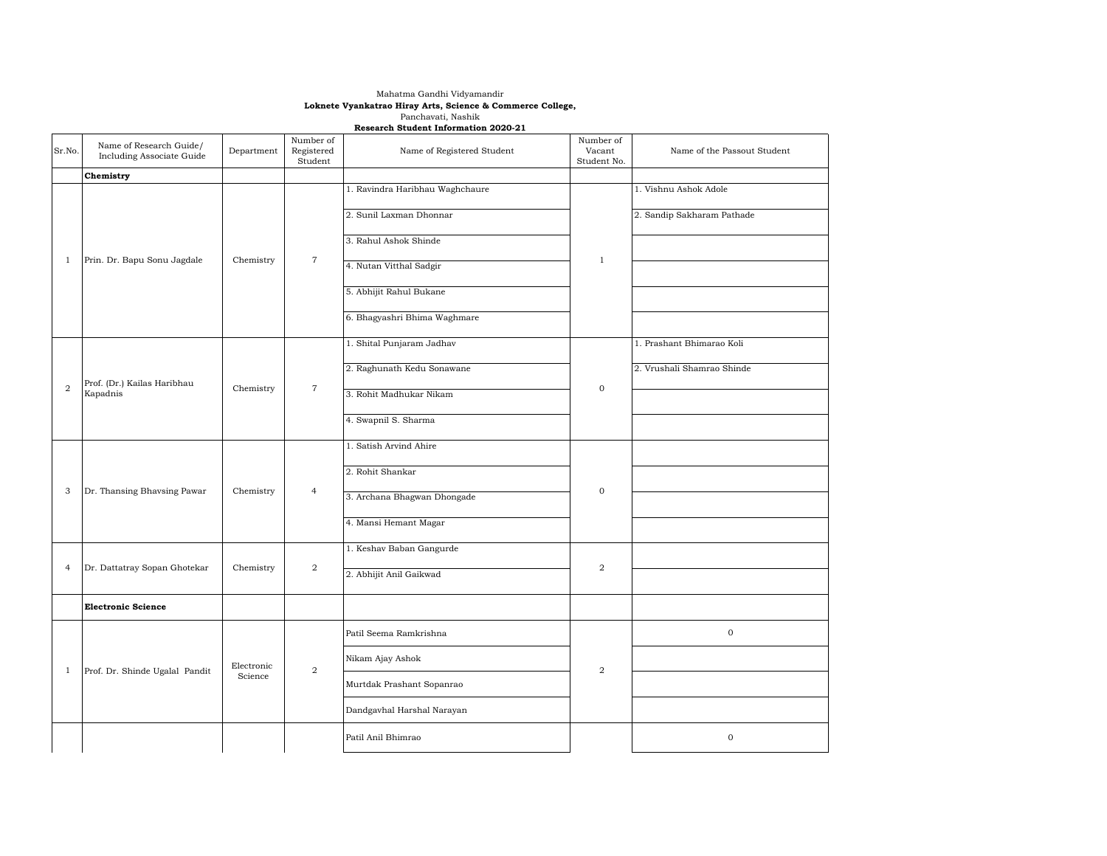## Mahatma Gandhi Vidyamandir **Loknete Vyankatrao Hiray Arts, Science & Commerce College,** Panchavati, Nashik **Research Student Information 2020-21**

| Sr.No.         | Name of Research Guide/<br>Including Associate Guide | Department            | Number of<br>Registered<br>Student | Name of Registered Student      | Number of<br>Vacant<br>Student No. | Name of the Passout Student |
|----------------|------------------------------------------------------|-----------------------|------------------------------------|---------------------------------|------------------------------------|-----------------------------|
|                | Chemistry                                            |                       |                                    |                                 |                                    |                             |
| 1              | Prin. Dr. Bapu Sonu Jagdale                          | Chemistry             | $\overline{7}$                     | 1. Ravindra Haribhau Waghchaure | $\mathbf{1}$                       | 1. Vishnu Ashok Adole       |
|                |                                                      |                       |                                    | 2. Sunil Laxman Dhonnar         |                                    | 2. Sandip Sakharam Pathade  |
|                |                                                      |                       |                                    | 3. Rahul Ashok Shinde           |                                    |                             |
|                |                                                      |                       |                                    | 4. Nutan Vitthal Sadgir         |                                    |                             |
|                |                                                      |                       |                                    | 5. Abhijit Rahul Bukane         |                                    |                             |
|                |                                                      |                       |                                    | 6. Bhagyashri Bhima Waghmare    |                                    |                             |
|                | Prof. (Dr.) Kailas Haribhau<br>Kapadnis              | Chemistry             | $\overline{7}$                     | 1. Shital Punjaram Jadhav       | $\mathbf 0$                        | 1. Prashant Bhimarao Koli   |
| $\overline{a}$ |                                                      |                       |                                    | 2. Raghunath Kedu Sonawane      |                                    | 2. Vrushali Shamrao Shinde  |
|                |                                                      |                       |                                    | 3. Rohit Madhukar Nikam         |                                    |                             |
|                |                                                      |                       |                                    | 4. Swapnil S. Sharma            |                                    |                             |
|                | Dr. Thansing Bhavsing Pawar                          | Chemistry             | $\overline{4}$                     | 1. Satish Arvind Ahire          | $\boldsymbol{0}$                   |                             |
|                |                                                      |                       |                                    | 2. Rohit Shankar                |                                    |                             |
| 3              |                                                      |                       |                                    | 3. Archana Bhagwan Dhongade     |                                    |                             |
|                |                                                      |                       |                                    | 4. Mansi Hemant Magar           |                                    |                             |
| $\overline{4}$ | Dr. Dattatray Sopan Ghotekar                         | Chemistry             | 2                                  | 1. Keshav Baban Gangurde        | 2                                  |                             |
|                |                                                      |                       |                                    | 2. Abhijit Anil Gaikwad         |                                    |                             |
|                | <b>Electronic Science</b>                            |                       |                                    |                                 |                                    |                             |
|                | Prof. Dr. Shinde Ugalal Pandit                       | Electronic<br>Science | 2                                  | Patil Seema Ramkrishna          | 2                                  | $\mathbf 0$                 |
|                |                                                      |                       |                                    | Nikam Ajay Ashok                |                                    |                             |
| 1              |                                                      |                       |                                    | Murtdak Prashant Sopanrao       |                                    |                             |
|                |                                                      |                       |                                    | Dandgavhal Harshal Narayan      |                                    |                             |
|                |                                                      |                       |                                    | Patil Anil Bhimrao              |                                    | $\,0\,$                     |
|                |                                                      |                       |                                    |                                 |                                    |                             |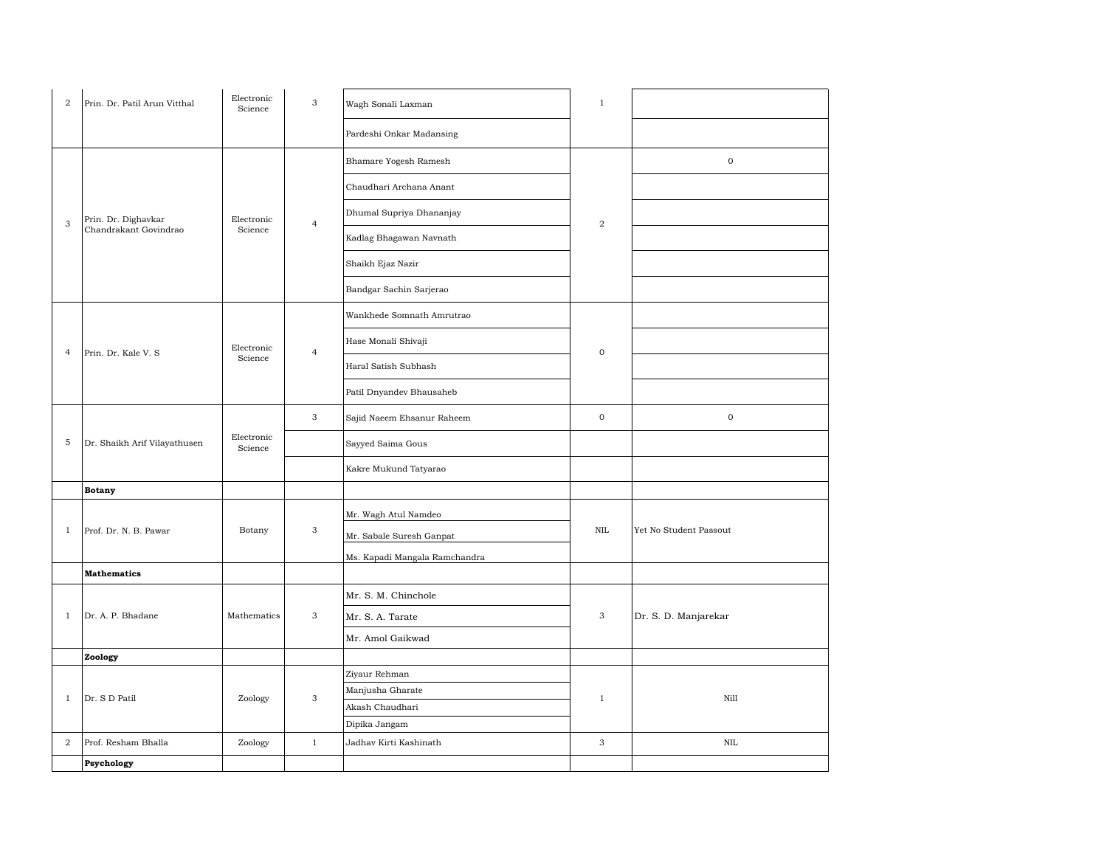| $\boldsymbol{2}$ | Prin. Dr. Patil Arun Vitthal                 | Electronic<br>Science | $\mathbf{3}$   | Wagh Sonali Laxman            | $\,1$            |                        |  |
|------------------|----------------------------------------------|-----------------------|----------------|-------------------------------|------------------|------------------------|--|
|                  |                                              |                       |                | Pardeshi Onkar Madansing      |                  |                        |  |
| $\sqrt{3}$       | Prin. Dr. Dighavkar<br>Chandrakant Govindrao | Electronic<br>Science | $\overline{4}$ | Bhamare Yogesh Ramesh         | $\overline{a}$   | $\mathbf 0$            |  |
|                  |                                              |                       |                | Chaudhari Archana Anant       |                  |                        |  |
|                  |                                              |                       |                | Dhumal Supriya Dhananjay      |                  |                        |  |
|                  |                                              |                       |                | Kadlag Bhagawan Navnath       |                  |                        |  |
|                  |                                              |                       |                | Shaikh Ejaz Nazir             |                  |                        |  |
|                  |                                              |                       |                | Bandgar Sachin Sarjerao       |                  |                        |  |
| $\overline{4}$   | Prin. Dr. Kale V. S                          | Electronic<br>Science | $\overline{4}$ | Wankhede Somnath Amrutrao     | $\boldsymbol{0}$ |                        |  |
|                  |                                              |                       |                | Hase Monali Shivaji           |                  |                        |  |
|                  |                                              |                       |                | Haral Satish Subhash          |                  |                        |  |
|                  |                                              |                       |                | Patil Dnyandev Bhausaheb      |                  |                        |  |
| 5                | Dr. Shaikh Arif Vilayathusen                 | Electronic<br>Science | $\mathbf{3}$   | Sajid Naeem Ehsanur Raheem    | $\mathbf 0$      | $\mathbf 0$            |  |
|                  |                                              |                       |                | Sayyed Saima Gous             |                  |                        |  |
|                  |                                              |                       |                | Kakre Mukund Tatyarao         |                  |                        |  |
|                  | <b>Botany</b>                                |                       |                |                               |                  |                        |  |
|                  | Prof. Dr. N. B. Pawar                        | Botany                | $_{\rm 3}$     | Mr. Wagh Atul Namdeo          |                  |                        |  |
| $\mathbf{1}$     |                                              |                       |                | Mr. Sabale Suresh Ganpat      | $\mbox{NIL}$     | Yet No Student Passout |  |
|                  |                                              |                       |                | Ms. Kapadi Mangala Ramchandra |                  |                        |  |
|                  | <b>Mathematics</b>                           |                       |                |                               |                  |                        |  |
| $\mathbf{1}$     | Dr. A. P. Bhadane                            | Mathematics           | $\mathbf{3}$   | Mr. S. M. Chinchole           | 3                |                        |  |
|                  |                                              |                       |                | Mr. S. A. Tarate              |                  | Dr. S. D. Manjarekar   |  |
|                  |                                              |                       |                | Mr. Amol Gaikwad              |                  |                        |  |
|                  | Zoology                                      |                       |                |                               |                  |                        |  |
| $\mathbf{1}$     | Dr. S D Patil                                | Zoology               | $\mathbf{3}$   | Ziyaur Rehman                 |                  |                        |  |
|                  |                                              |                       |                | Manjusha Gharate              | $\,1$            | Nill                   |  |
|                  |                                              |                       |                | Akash Chaudhari               |                  |                        |  |
|                  |                                              |                       |                | Dipika Jangam                 |                  |                        |  |
| $\overline{a}$   | Prof. Resham Bhalla                          | Zoology               | $\mathbf{1}$   | Jadhav Kirti Kashinath        | $\mathbf{3}$     | $\mbox{NIL}$           |  |
|                  | Psychology                                   |                       |                |                               |                  |                        |  |